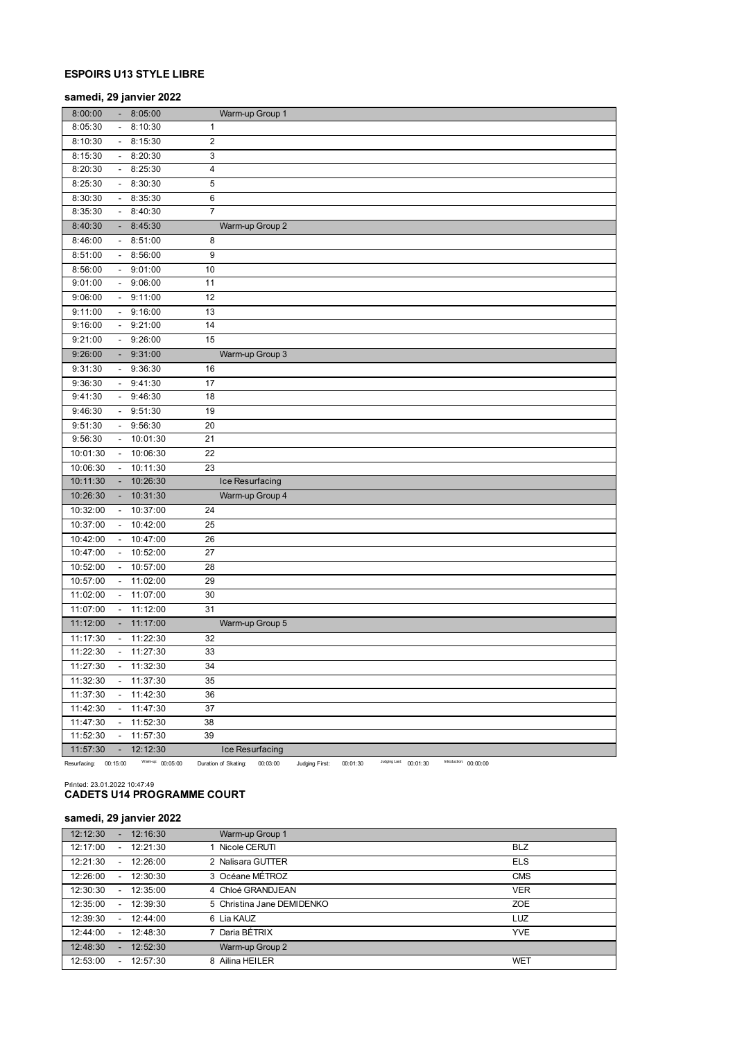# **ESPOIRS U13 STYLE LIBRE**

## **samedi, 29 janvier 2022**

| 8:05:30<br>8:10:30<br>$\blacksquare$        |                              |                                                                                                                                       |
|---------------------------------------------|------------------------------|---------------------------------------------------------------------------------------------------------------------------------------|
|                                             | 1                            |                                                                                                                                       |
| 8:10:30<br>$\sim$                           | 2<br>8:15:30                 |                                                                                                                                       |
| 8:15:30<br>$\sim$                           | 3<br>8:20:30                 |                                                                                                                                       |
| 8:20:30<br>$\sim$                           | 4<br>8:25:30                 |                                                                                                                                       |
| 8:25:30                                     | 5<br>8:30:30                 |                                                                                                                                       |
| 8:30:30                                     | 8:35:30<br>6                 |                                                                                                                                       |
| 8:35:30<br>$\sim$                           | $\overline{7}$<br>8:40:30    |                                                                                                                                       |
| 8:40:30                                     | 8:45:30                      | Warm-up Group 2                                                                                                                       |
| 8:51:00<br>8:46:00<br>$\sim$                | 8                            |                                                                                                                                       |
| 8:51:00<br>$-8:56:00$                       | 9                            |                                                                                                                                       |
| 8:56:00<br>$\sim$                           | 9:01:00<br>10                |                                                                                                                                       |
| 9:01:00<br>$\sim$                           | 11<br>9:06:00                |                                                                                                                                       |
| 9:06:00<br>$\blacksquare$                   | 9:11:00<br>12                |                                                                                                                                       |
| 9:11:00<br>$\sim$                           | 9:16:00<br>13                |                                                                                                                                       |
| 9:16:00<br>$-9:21:00$                       | 14                           |                                                                                                                                       |
| 9:21:00<br>$\sim$                           | 15<br>9:26:00                |                                                                                                                                       |
| 9:26:00                                     | 9:31:00                      | Warm-up Group 3                                                                                                                       |
| 9:31:30                                     | 9:36:30<br>16                |                                                                                                                                       |
| 9:36:30                                     | 17<br>9:41:30                |                                                                                                                                       |
| 9:41:30<br>$\sim$                           | 9:46:30<br>18                |                                                                                                                                       |
| 9:46:30<br>$\sim$                           | 9:51:30<br>19                |                                                                                                                                       |
| 9:51:30                                     | 9:56:30<br>20                |                                                                                                                                       |
| 9:56:30<br>$\mathcal{L}_{\mathcal{A}}$      | 10:01:30<br>21               |                                                                                                                                       |
| 10:01:30<br>$\overline{\phantom{a}}$        | 22<br>10:06:30               |                                                                                                                                       |
| 10:06:30<br>$\overline{\phantom{a}}$        | 23<br>10:11:30               |                                                                                                                                       |
| 10:11:30                                    | 10:26:30                     | Ice Resurfacing                                                                                                                       |
| 10:26:30                                    | 10:31:30                     | Warm-up Group 4                                                                                                                       |
| 10:32:00<br>$\overline{\phantom{a}}$        | 10:37:00<br>24               |                                                                                                                                       |
| 10:37:00<br>$\blacksquare$                  | 10:42:00<br>25               |                                                                                                                                       |
| 10:42:00                                    | 26<br>10:47:00               |                                                                                                                                       |
| 10:47:00<br>$\overline{\phantom{a}}$        | 10:52:00<br>27               |                                                                                                                                       |
| 10:52:00                                    | 10:57:00<br>28               |                                                                                                                                       |
| 10:57:00<br>$\sim$                          | 11:02:00<br>29               |                                                                                                                                       |
| 11:02:00<br>$\sim$                          | 11:07:00<br>30               |                                                                                                                                       |
| 11:07:00<br>$\blacksquare$                  | 11:12:00<br>31               |                                                                                                                                       |
| 11:12:00<br>۰.                              | 11:17:00                     | Warm-up Group 5                                                                                                                       |
| 11:17:30<br>$\sim$                          | 11:22:30<br>32               |                                                                                                                                       |
| 11:22:30<br>$\blacksquare$                  | 33<br>11:27:30               |                                                                                                                                       |
| 11:27:30<br>$-11:32:30$                     | 34                           |                                                                                                                                       |
| 11:32:30                                    | 11:37:30<br>35               |                                                                                                                                       |
| 11:37:30                                    | 11:42:30<br>36               |                                                                                                                                       |
| 11:42:30                                    | 11:47:30<br>37               |                                                                                                                                       |
| 11:47:30<br>$-11:52:30$                     | 38                           |                                                                                                                                       |
| 11:52:30<br>$\sim$                          | 11:57:30<br>39               |                                                                                                                                       |
| 11:57:30<br>$\sim$<br>Resurfacing: 00:15:00 | 12:12:30<br>Warmup: 00:05:00 | Ice Resurfacing<br>Judging Last: 00:01:30<br>Introduction: 00:00:00<br>Duration of Skating:<br>00:03:00<br>Judging First:<br>00:01:30 |

# Printed: 23.01.2022 10:47:49 **CADETS U14 PROGRAMME COURT**

# **samedi, 29 janvier 2022**

| 12:12:30<br>÷.                       | 12:16:30    | Warm-up Group 1            |            |
|--------------------------------------|-------------|----------------------------|------------|
| 12:17:00                             | $-12:21:30$ | Nicole CERUTI              | <b>BLZ</b> |
| 12:21:30<br>$\overline{\phantom{0}}$ | 12:26:00    | 2 Nalisara GUTTER          | <b>ELS</b> |
| 12:26:00<br>$\overline{\phantom{0}}$ | 12:30:30    | 3 Océane MÉTROZ            | <b>CMS</b> |
| 12:30:30                             | $-12:35:00$ | 4 Chloé GRANDJEAN          | <b>VER</b> |
| 12:35:00<br>$\overline{\phantom{0}}$ | 12:39:30    | 5 Christina Jane DEMIDENKO | <b>ZOE</b> |
| 12:39:30                             | $-12:44:00$ | 6 Lia KAUZ                 | LUZ        |
| 12:44:00                             | $-12:48:30$ | Daria BÉTRIX               | <b>YVE</b> |
| 12:48:30<br>                         | 12:52:30    | Warm-up Group 2            |            |
| 12:53:00                             | $-12:57:30$ | Ailina HEILER<br>8         | <b>WET</b> |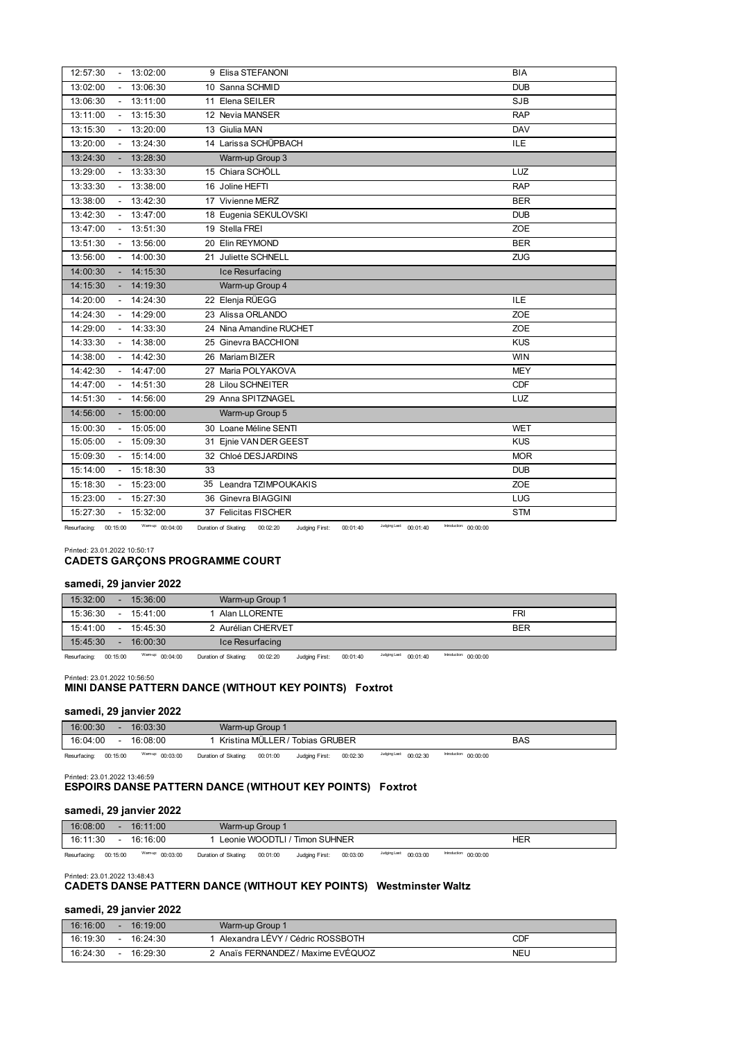| 12:57:30              |        | $-13:02:00$      | 9 Elisa STEFANONI                                                                                                      | <b>BIA</b> |
|-----------------------|--------|------------------|------------------------------------------------------------------------------------------------------------------------|------------|
| 13:02:00              |        | 13:06:30         | 10 Sanna SCHMID                                                                                                        | <b>DUB</b> |
| 13:06:30              |        | 13:11:00         | 11 Elena SEILER                                                                                                        | <b>SJB</b> |
| 13:11:00              |        | $-13:15:30$      | 12 Nevia MANSER                                                                                                        | <b>RAP</b> |
| 13:15:30              |        | 13:20:00         | 13 Giulia MAN                                                                                                          | <b>DAV</b> |
| 13:20:00              |        | $-13:24:30$      | 14 Larissa SCHÜPBACH                                                                                                   | <b>ILE</b> |
| 13:24:30              |        | $-13:28:30$      | Warm-up Group 3                                                                                                        |            |
| 13:29:00              |        | 13:33:30         | 15 Chiara SCHÖLL                                                                                                       | LUZ        |
| 13:33:30              |        | 13:38:00         | 16 Joline HEFTI                                                                                                        | <b>RAP</b> |
| 13:38:00              |        | 13:42:30         | 17 Vivienne MERZ                                                                                                       | <b>BER</b> |
| 13:42:30              |        | $-13:47:00$      | 18 Eugenia SEKULOVSKI                                                                                                  | <b>DUB</b> |
| 13:47:00              |        | 13:51:30         | 19 Stella FREI                                                                                                         | <b>ZOE</b> |
| 13:51:30              |        | 13:56:00         | 20 Elin REYMOND                                                                                                        | <b>BER</b> |
| 13:56:00              |        | $-14:00:30$      | 21 Juliette SCHNELL                                                                                                    | <b>ZUG</b> |
| 14:00:30              |        | $-14:15:30$      | Ice Resurfacing                                                                                                        |            |
| 14:15:30              | $\sim$ | 14:19:30         | Warm-up Group 4                                                                                                        |            |
| 14:20:00              |        | $-14:24:30$      | 22 Elenja RÜEGG                                                                                                        | <b>ILE</b> |
| 14:24:30              |        | 14:29:00         | 23 Alissa ORLANDO                                                                                                      | <b>ZOE</b> |
| 14:29:00              |        | 14:33:30         | 24 Nina Amandine RUCHET                                                                                                | <b>ZOE</b> |
| 14:33:30              |        | $-14:38:00$      | 25 Ginevra BACCHIONI                                                                                                   | <b>KUS</b> |
| 14:38:00              |        | $-14:42:30$      | 26 Mariam BIZER                                                                                                        | <b>WIN</b> |
| 14:42:30              |        | 14:47:00         | 27 Maria POLYAKOVA                                                                                                     | <b>MEY</b> |
| 14:47:00              |        | $-14:51:30$      | 28 Lilou SCHNEITER                                                                                                     | <b>CDF</b> |
| 14:51:30              |        | $-14:56:00$      | 29 Anna SPITZNAGEL                                                                                                     | LUZ        |
| 14:56:00              |        | 15:00:00         | Warm-up Group 5                                                                                                        |            |
| 15:00:30              |        | 15:05:00         | 30 Loane Méline SENTI                                                                                                  | <b>WET</b> |
| 15:05:00              |        | 15:09:30         | 31 Einie VAN DER GEEST                                                                                                 | <b>KUS</b> |
| 15:09:30              |        | 15:14:00         | 32 Chloé DESJARDINS                                                                                                    | <b>MOR</b> |
| 15:14:00              |        | 15:18:30         | 33                                                                                                                     | <b>DUB</b> |
| 15:18:30              |        | 15:23:00         | 35 Leandra TZIMPOUKAKIS                                                                                                | <b>ZOE</b> |
| 15:23:00              |        | 15:27:30         | 36 Ginevra BIAGGINI                                                                                                    | LUG        |
| 15:27:30              |        | 15:32:00         | 37 Felicitas FISCHER                                                                                                   | <b>STM</b> |
| Resurfacing: 00:15:00 |        | Warmup: 00:04:00 | Judging Last:<br>Introduction: 00:00:00<br>00:01:40<br>Duration of Skating: 00:02:20<br>Judaina First:<br>$00.01 - 40$ |            |

ring: 00:15:00 <sup>Warmup:</sup> 00:04:00 Duration of Skating: 00:02:20 Judging

# Printed: 23.01.2022 10:50:17 **CADETS GARÇONS PROGRAMME COURT**

# **samedi, 29 janvier 2022**

| 15:32:00<br>15:36:00    | Warm-up Group 1                                                                                                       |                                                                                                                 |
|-------------------------|-----------------------------------------------------------------------------------------------------------------------|-----------------------------------------------------------------------------------------------------------------|
| 15:36:30<br>$-15:41:00$ | Alan LLORENTE                                                                                                         | FRI                                                                                                             |
| 15:41:00<br>$-15:45:30$ | 2 Aurélian CHERVET                                                                                                    | <b>BER</b>                                                                                                      |
| 15:45:30<br>16:00:30    | Ice Resurfacing                                                                                                       |                                                                                                                 |
|                         | <b>В Польское какадемирование пользование пользование пользование пользование пользование пользование пользование</b> | Transferência de la contrada de la contrada de la contrada de la contrada de la contrada de la contrada de la c |

Resurfacing: 00:15:00 Warm-up: 00:04:00 Duration of Skating: 00:02:20 Judging First: 00:01:40 Judging Last: 00:01:40 Introduction: 00:00:00

#### Printed: 23.01.2022 10:56:50

# **MINI DANSE PATTERN DANCE (WITHOUT KEY POINTS) Foxtrot**

## **samedi, 29 janvier 2022**

| 16:00:30 |          | 16:03:30        | Warm-up Group '   |        |                  |      |          |                                     |                             |     |
|----------|----------|-----------------|-------------------|--------|------------------|------|----------|-------------------------------------|-----------------------------|-----|
| 16:04:00 | -        | 16:08:00        | Kristina MÜLLER / |        | ?/ Tobias GRUBER |      |          |                                     |                             | BAS |
| _ _      | -- -- -- | Warman: co.c.c. | __________        | ------ |                  | $-1$ | -- -- -- | highlight and and and the season of | InterviewSort - - - - - - - |     |

Resurfacing: 00:15:00 Warm-up: 00:03:00 Duration of Skating: 00:01:00 Judging First: 00:02:30 Maging Last: 00:02:30 Mediation: 00:00:00

#### Printed: 23.01.2022 13:46:59 **ESPOIRS DANSE PATTERN DANCE (WITHOUT KEY POINTS) Foxtrot**

#### **samedi, 29 janvier 2022**

| 16:08:00     |          | 16:11:00         |                      | Warm-up Group 1 |                               |          |                        |                        |     |  |
|--------------|----------|------------------|----------------------|-----------------|-------------------------------|----------|------------------------|------------------------|-----|--|
| 16:11:30     |          | 16:16:00         |                      |                 | Leonie WOODTLI / Timon SUHNER |          |                        |                        | HER |  |
| Resurfacing: | 00:15:00 | Warmup: 00:03:00 | Duration of Skating: | 00:01:00        | Judging First:                | 00:03:00 | Judging Last: 00:03:00 | Introduction: 00:00:00 |     |  |

Printed: 23.01.2022 13:48:43

# **CADETS DANSE PATTERN DANCE (WITHOUT KEY POINTS) Westminster Waltz**

# **samedi, 29 janvier 2022**

| 16:16:00 | 16:19:00 | Warm-up Group 1                  |     |
|----------|----------|----------------------------------|-----|
| 16:19:30 | 16:24:30 | Alexandra LEVY / Cédric ROSSBOTH | CDF |
| 16:24:30 | 16:29:30 | Anaïs FERNANDEZ / Maxime EVEQUOZ | NEU |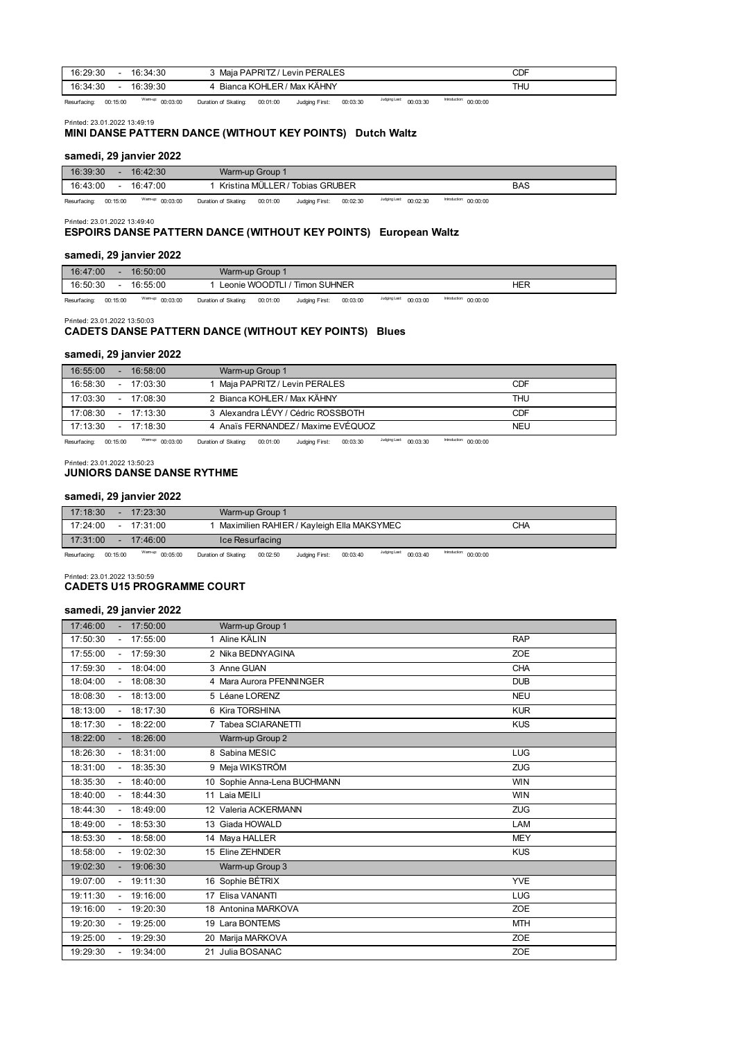| 16:29:30<br>16:34:30 | Levin PERALES<br>Maia PAPRITZ/ | <b>CDF</b> |
|----------------------|--------------------------------|------------|
| 16:34:30<br>16:39:30 | Bianca KOHLER / Max KÄHNY      | <b>THU</b> |

Resurfacing: 00:15:00 Warm-up: 00:03:00 Duration of Skating: 00:01:00 Judging First: 00:03:30 <sup>Judging Last</sup>: 00:03:30 <sup>Introduction:</sup> 00:00:00

#### Printed: 23.01.2022 13:49:19

# **MINI DANSE PATTERN DANCE (WITHOUT KEY POINTS) Dutch Waltz**

### **samedi, 29 janvier 2022**

| 16:39:30     |          | 16:42:30         |                      | Warm-up Group 1 |                                 |          |                        |                        |     |
|--------------|----------|------------------|----------------------|-----------------|---------------------------------|----------|------------------------|------------------------|-----|
| 16:43:00     | $\sim$   | 16:47:00         |                      |                 | Kristina MÜLLER / Tobias GRUBER |          |                        |                        | BAS |
| Resurfacing: | 00:15:00 | Warmup: 00:03:00 | Duration of Skating: | 00:01:00        | Judging First:                  | 00:02:30 | Judging Last: 00:02:30 | Introduction: 00:00:00 |     |

Printed: 23.01.2022 13:49:40

#### **ESPOIRS DANSE PATTERN DANCE (WITHOUT KEY POINTS) European Waltz**

#### **samedi, 29 janvier 2022**

| 16:47:00 | 16:50:00                                  | Warm-up Group 1                    |   |     |
|----------|-------------------------------------------|------------------------------------|---|-----|
| 16:50:30 | 16:55:00                                  | / Timon SUHNER<br>Leonie WOODTLI . |   | HER |
|          | $\sim$ $\sim$ $\sim$ $\sim$ $\sim$ $\sim$ |                                    | . | .   |

Resurfacing: 00:15:00 Warm-up: 00:03:00 Duration of Skating: 00:01:00 Judging First: 00:03:00 Judging Last: 00:03:00 Introduction: 00:00:00

Printed: 23.01.2022 13:50:03

# **CADETS DANSE PATTERN DANCE (WITHOUT KEY POINTS) Blues**

#### **samedi, 29 janvier 2022**

| 17:13:30 | $-17.18.30$ | 4 Anaïs FERNANDEZ / Maxime EVÉQUOZ | <b>NEU</b> |  |
|----------|-------------|------------------------------------|------------|--|
| 17:08:30 | $-17.13.30$ | 3 Alexandra LÉVY / Cédric ROSSBOTH | CDF        |  |
| 17:03:30 | $-17.08.30$ | 2 Bianca KOHLER / Max KÄHNY        | THU        |  |
| 16:58:30 | $-17:03:30$ | Maja PAPRITZ / Levin PERALES       | CDF        |  |
| 16:55:00 | 16:58:00    | Warm-up Group 1                    |            |  |

Resurfacing: 00:15:00 Warm-up: 00:03:00 Duration of Skating: 00:01:00 Judging First: 00:03:30 <sup>Judging Last</sup>: 00:03:30 Introduction: 00:00:00

Printed: 23.01.2022 13:50:23

# **JUNIORS DANSE DANSE RYTHME**

### **samedi, 29 janvier 2022**

| 17:18:30 |        | 17:23:30         | Warm-up Group 1                            |                           |  |
|----------|--------|------------------|--------------------------------------------|---------------------------|--|
| 17:24:00 | $\sim$ | 17:31:00         | Maximilien RAHIER / Kayleigh Ella MAKSYMEC | CHA                       |  |
| 17:31:00 |        | 17:46:00         | Ice Resurfacing                            |                           |  |
|          |        | TAFarmer company | the start was to work.                     | <b>Ballon Arrest Ave.</b> |  |

Resurfacing: 00:15:00 Warm-up: 00:05:00 Duration of Skating: 00:02:50 Judging First: 00:03:40 Maging Last: 00:03:40 Maging Last: 00:03:40

Printed: 23.01.2022 13:50:59

#### **CADETS U15 PROGRAMME COURT**

#### **samedi, 29 janvier 2022**

| 17:46:00 | 17:50:00 | Warm-up Group 1              |            |
|----------|----------|------------------------------|------------|
| 17:50:30 | 17:55:00 | 1 Aline KÄLIN                | <b>RAP</b> |
| 17:55:00 | 17:59:30 | 2 Nika BEDNYAGINA            | <b>ZOE</b> |
| 17:59:30 | 18:04:00 | 3 Anne GUAN                  | <b>CHA</b> |
| 18:04:00 | 18:08:30 | 4 Mara Aurora PFENNINGER     | <b>DUB</b> |
| 18:08:30 | 18:13:00 | 5 Léane LORENZ               | <b>NEU</b> |
| 18:13:00 | 18:17:30 | 6 Kira TORSHINA              | <b>KUR</b> |
| 18:17:30 | 18:22:00 | 7 Tabea SCIARANETTI          | <b>KUS</b> |
| 18:22:00 | 18:26:00 | Warm-up Group 2              |            |
| 18:26:30 | 18:31:00 | 8 Sabina MESIC               | <b>LUG</b> |
| 18:31:00 | 18:35:30 | 9 Meja WIKSTRÖM              | ZUG        |
| 18:35:30 | 18:40:00 | 10 Sophie Anna-Lena BUCHMANN | <b>WIN</b> |
| 18:40:00 | 18:44:30 | 11 Laia MEILI                | <b>WIN</b> |
| 18:44:30 | 18:49:00 | 12 Valeria ACKERMANN         | <b>ZUG</b> |
| 18:49:00 | 18:53:30 | 13 Giada HOWALD              | LAM        |
| 18:53:30 | 18:58:00 | 14 Maya HALLER               | <b>MEY</b> |
| 18:58:00 | 19:02:30 | 15 Eline ZEHNDER             | <b>KUS</b> |
| 19:02:30 | 19:06:30 | Warm-up Group 3              |            |
| 19:07:00 | 19:11:30 | 16 Sophie BÉTRIX             | <b>YVE</b> |
| 19:11:30 | 19:16:00 | 17 Elisa VANANTI             | <b>LUG</b> |
| 19:16:00 | 19:20:30 | 18 Antonina MARKOVA          | <b>ZOE</b> |
| 19:20:30 | 19:25:00 | 19 Lara BONTEMS              | <b>MTH</b> |
| 19:25:00 | 19:29:30 | 20 Marija MARKOVA            | <b>ZOE</b> |
| 19:29:30 | 19:34:00 | 21 Julia BOSANAC             | <b>ZOE</b> |